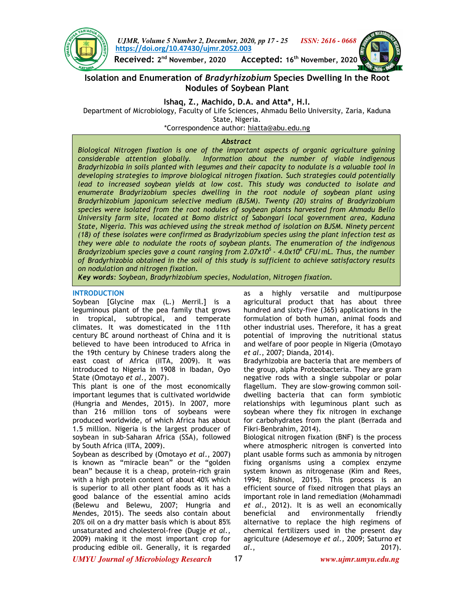

*UJMR, Volume 5 Number 2, December, 2020, pp 17 - 25 ISSN: 2616 - 0668* **https://doi.org/10.47430/ujmr.2052.003**

**Received: 2 nd November, 2020 Accepted: 16th November, 2020** 



# **Isolation and Enumeration of** *Bradyrhizobium* **Species Dwelling In the Root Nodules of Soybean Plant**

## **Ishaq, Z., Machido, D.A. and Atta\*, H.I.**

Department of Microbiology, Faculty of Life Sciences, Ahmadu Bello University, Zaria, Kaduna

State, Nigeria.

\*Correspondence author: hiatta@abu.edu.ng

## *Abstract*

*Biological Nitrogen fixation is one of the important aspects of organic agriculture gaining considerable attention globally. Information about the number of viable indigenous Bradyrhizobia in soils planted with legumes and their capacity to nodulate is a valuable tool in developing strategies to improve biological nitrogen fixation. Such strategies could potentially*  lead to increased soybean yields at low cost. This study was conducted to isolate and *enumerate Bradyrizobium species dwelling in the root nodule of soybean plant using Bradyrhizobium japonicum selective medium (BJSM). Twenty (20) strains of Bradyrizobium species were isolated from the root nodules of soybean plants harvested from Ahmadu Bello University farm site, located at Bomo district of Sabongari local government area, Kaduna State, Nigeria. This was achieved using the streak method of isolation on BJSM. Ninety percent (18) of these isolates were confirmed as Bradyrizobium species using the plant infection test as they were able to nodulate the roots of soybean plants. The enumeration of the indigenous Bradyrizobium species gave a count ranging from 2.07x10<sup>5</sup>- 4.0x10<sup>6</sup> CFU/mL. Thus, the number of Bradyrhizobia obtained in the soil of this study is sufficient to achieve satisfactory results on nodulation and nitrogen fixation.* 

*Key words: Soybean, Bradyrhizobium species, Nodulation, Nitrogen fixation.* 

## **INTRODUCTION**

Soybean [Glycine max (L.) Merril.] is a leguminous plant of the pea family that grows in tropical, subtropical, and temperate climates. It was domesticated in the 11th century BC around northeast of China and it is believed to have been introduced to Africa in the 19th century by Chinese traders along the east coast of Africa (IITA, 2009). It was introduced to Nigeria in 1908 in Ibadan, Oyo State (Omotayo *et al*., 2007).

This plant is one of the most economically important legumes that is cultivated worldwide (Hungria and Mendes, 2015). In 2007, more than 216 million tons of soybeans were produced worldwide, of which Africa has about 1.5 million. Nigeria is the largest producer of soybean in sub-Saharan Africa (SSA), followed by South Africa (IITA, 2009).

Soybean as described by (Omotayo *et al*., 2007) is known as "miracle bean" or the "golden bean" because it is a cheap, protein-rich grain with a high protein content of about 40% which is superior to all other plant foods as it has a good balance of the essential amino acids (Belewu and Belewu, 2007; Hungria and Mendes, 2015). The seeds also contain about 20% oil on a dry matter basis which is about 85% unsaturated and cholesterol-free (Dugje *et al.*, 2009) making it the most important crop for producing edible oil. Generally, it is regarded

as a highly versatile and multipurpose agricultural product that has about three hundred and sixty-five (365) applications in the formulation of both human, animal foods and other industrial uses. Therefore, it has a great potential of improving the nutritional status and welfare of poor people in Nigeria (Omotayo *et al*., 2007; Dianda, 2014).

Bradyrhizobia are bacteria that are members of the group, alpha Proteobacteria. They are gram negative rods with a single subpolar or polar flagellum. They are slow-growing common soildwelling bacteria that can form symbiotic relationships with leguminous plant such as soybean where they fix nitrogen in exchange for carbohydrates from the plant (Berrada and Fikri-Benbrahim, 2014).

Biological nitrogen fixation (BNF) is the process where atmospheric nitrogen is converted into plant usable forms such as ammonia by nitrogen fixing organisms using a complex enzyme system known as nitrogenase (Kim and Rees, 1994; Bishnoi, 2015). This process is an efficient source of fixed nitrogen that plays an important role in land remediation (Mohammadi *et al*., 2012). It is as well an economically beneficial and environmentally friendly alternative to replace the high regimens of chemical fertilizers used in the present day agriculture (Adesemoye *et al.,* 2009; Saturno *et al*., 2017).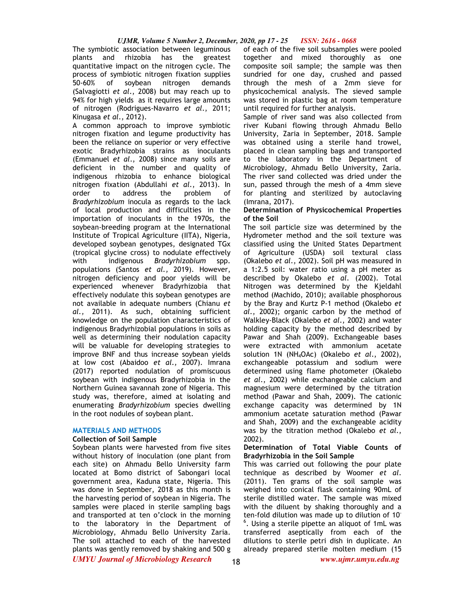## *UJMR, Volume 5 Number 2, December, 2020, pp 17 - 25 ISSN: 2616 - 0668*

The symbiotic association between leguminous plants and rhizobia has the greatest quantitative impact on the nitrogen cycle. The process of symbiotic nitrogen fixation supplies 50-60% of soybean nitrogen demands (Salvagiotti *et al*., 2008) but may reach up to 94% for high yields as it requires large amounts of nitrogen (Rodrigues-Navarro *et al*., 2011; Kinugasa *et al*., 2012).

A common approach to improve symbiotic nitrogen fixation and legume productivity has been the reliance on superior or very effective exotic Bradyrhizobia strains as inoculants (Emmanuel *et al*., 2008) since many soils are deficient in the number and quality of indigenous rhizobia to enhance biological nitrogen fixation (Abdullahi *et al*., 2013). In order to address the problem of *Bradyrhizobium* inocula as regards to the lack of local production and difficulties in the importation of inoculants in the 1970s, the soybean-breeding program at the International Institute of Tropical Agriculture (IITA), Nigeria, developed soybean genotypes, designated TGx (tropical glycine cross) to nodulate effectively with indigenous *Bradyrhizobium* spp. populations (Santos *et al.,* 2019). However, nitrogen deficiency and poor yields will be experienced whenever Bradyrhizobia that effectively nodulate this soybean genotypes are not available in adequate numbers (Chianu *et al.,* 2011). As such, obtaining sufficient knowledge on the population characteristics of indigenous Bradyrhizobial populations in soils as well as determining their nodulation capacity will be valuable for developing strategies to improve BNF and thus increase soybean yields at low cost (Abaidoo *et al.,* 2007). Imrana (2017) reported nodulation of promiscuous soybean with indigenous Bradyrhizobia in the Northern Guinea savannah zone of Nigeria. This study was, therefore, aimed at isolating and enumerating *Bradyrhizobium* species dwelling in the root nodules of soybean plant.

### **MATERIALS AND METHODS**

#### **Collection of Soil Sample**

Soybean plants were harvested from five sites without history of inoculation (one plant from each site) on Ahmadu Bello University farm located at Bomo district of Sabongari local government area, Kaduna state, Nigeria. This was done in September, 2018 as this month is the harvesting period of soybean in Nigeria. The samples were placed in sterile sampling bags and transported at ten o'clock in the morning to the laboratory in the Department of Microbiology, Ahmadu Bello University Zaria. The soil attached to each of the harvested plants was gently removed by shaking and 500 g

of each of the five soil subsamples were pooled together and mixed thoroughly as one composite soil sample; the sample was then sundried for one day, crushed and passed through the mesh of a 2mm sieve for physicochemical analysis. The sieved sample was stored in plastic bag at room temperature until required for further analysis.

Sample of river sand was also collected from river Kubani flowing through Ahmadu Bello University, Zaria in September, 2018. Sample was obtained using a sterile hand trowel, placed in clean sampling bags and transported to the laboratory in the Department of Microbiology, Ahmadu Bello University, Zaria. The river sand collected was dried under the sun, passed through the mesh of a 4mm sieve for planting and sterilized by autoclaving (Imrana, 2017).

## **Determination of Physicochemical Properties of the Soil**

The soil particle size was determined by the Hydrometer method and the soil texture was classified using the United States Department of Agriculture (USDA) soil textural class (Okalebo *et al*., 2002). Soil pH was measured in a 1:2.5 soil: water ratio using a pH meter as described by Okalebo *et al*. (2002). Total Nitrogen was determined by the Kjeldahl method (Machido, 2010); available phosphorous by the Bray and Kurtz P-1 method (Okalebo *et al*., 2002); organic carbon by the method of Walkley-Black (Okalebo *et al*., 2002) and water holding capacity by the method described by Pawar and Shah (2009). Exchangeable bases were extracted with ammonium acetate solution 1N (NH4OAc) (Okalebo *et al*., 2002), exchangeable potassium and sodium were determined using flame photometer (Okalebo *et al*., 2002) while exchangeable calcium and magnesium were determined by the titration method (Pawar and Shah, 2009). The cationic exchange capacity was determined by 1N ammonium acetate saturation method (Pawar and Shah, 2009) and the exchangeable acidity was by the titration method (Okalebo *et al*., 2002).

### **Determination of Total Viable Counts of Bradyrhizobia in the Soil Sample**

This was carried out following the pour plate technique as described by Woomer *et al*. (2011). Ten grams of the soil sample was weighed into conical flask containing 90mL of sterile distilled water. The sample was mixed with the diluent by shaking thoroughly and a ten-fold dilution was made up to dilution of 10- <sup>6</sup>. Using a sterile pipette an aliquot of 1mL was transferred aseptically from each of the dilutions to sterile petri dish in duplicate. An already prepared sterile molten medium (15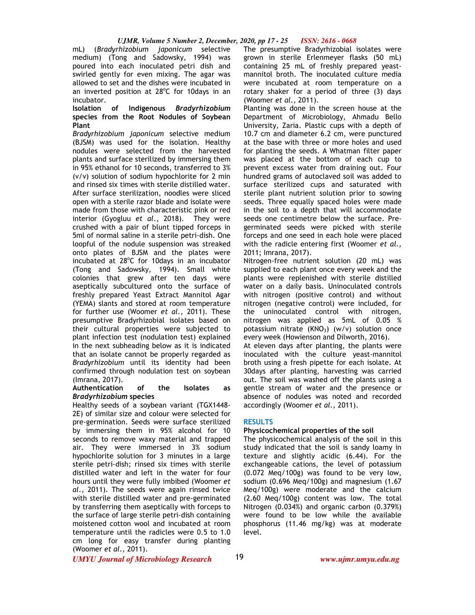mL) (*Bradyrhizobium japonicum* selective medium) (Tong and Sadowsky, 1994) was poured into each inoculated petri dish and swirled gently for even mixing. The agar was allowed to set and the dishes were incubated in an inverted position at 28°C for 10days in an incubator.

## **Isolation of Indigenous** *Bradyrhizobium* **species from the Root Nodules of Soybean Plant**

*Bradyrhizobium japonicum* selective medium (BJSM) was used for the isolation. Healthy nodules were selected from the harvested plants and surface sterilized by immersing them in 95% ethanol for 10 seconds, transferred to 3% (v/v) solution of sodium hypochlorite for 2 min and rinsed six times with sterile distilled water. After surface sterilization, noodles were sliced open with a sterile razor blade and isolate were made from those with characteristic pink or red interior (Gyogluu *et al*., 2018). They were crushed with a pair of blunt tipped forceps in 5ml of normal saline in a sterile petri-dish. One loopful of the nodule suspension was streaked onto plates of BJSM and the plates were incubated at  $28^{\circ}$ C for 10days in an incubator (Tong and Sadowsky, 1994). Small white colonies that grew after ten days were aseptically subcultured onto the surface of freshly prepared Yeast Extract Mannitol Agar (YEMA) slants and stored at room temperature for further use (Woomer *et al.,* 2011). These presumptive Bradyrhizobial isolates based on their cultural properties were subjected to plant infection test (nodulation test) explained in the next subheading below as it is indicated that an isolate cannot be properly regarded as *Bradyrhizobium* until its identity had been confirmed through nodulation test on soybean (Imrana, 2017).

### **Authentication of the Isolates as**  *Bradyrhizobium* **species**

Healthy seeds of a soybean variant (TGX1448- 2E) of similar size and colour were selected for pre-germination. Seeds were surface sterilized by immersing them in 95% alcohol for 10 seconds to remove waxy material and trapped air. They were immersed in 3% sodium hypochlorite solution for 3 minutes in a large sterile petri-dish; rinsed six times with sterile distilled water and left in the water for four hours until they were fully imbibed (Woomer *et al.,* 2011). The seeds were again rinsed twice with sterile distilled water and pre-germinated by transferring them aseptically with forceps to the surface of large sterile petri-dish containing moistened cotton wool and incubated at room temperature until the radicles were 0.5 to 1.0 cm long for easy transfer during planting (Woomer *et al.,* 2011).

The presumptive Bradyrhizobial isolates were grown in sterile Erlenmeyer flasks (50 mL) containing 25 mL of freshly prepared yeastmannitol broth. The inoculated culture media were incubated at room temperature on a rotary shaker for a period of three (3) days (Woomer *et al.,* 2011).

Planting was done in the screen house at the Department of Microbiology, Ahmadu Bello University, Zaria. Plastic cups with a depth of 10.7 cm and diameter 6.2 cm, were punctured at the base with three or more holes and used for planting the seeds. A Whatman filter paper was placed at the bottom of each cup to prevent excess water from draining out. Four hundred grams of autoclaved soil was added to surface sterilized cups and saturated with sterile plant nutrient solution prior to sowing seeds. Three equally spaced holes were made in the soil to a depth that will accommodate seeds one centimetre below the surface. Pregerminated seeds were picked with sterile forceps and one seed in each hole were placed with the radicle entering first (Woomer *et al.,*  2011; Imrana, 2017).

Nitrogen-free nutrient solution (20 mL) was supplied to each plant once every week and the plants were replenished with sterile distilled water on a daily basis. Uninoculated controls with nitrogen (positive control) and without nitrogen (negative control) were included, for the uninoculated control with nitrogen, nitrogen was applied as 5mL of 0.05 % potassium nitrate  $(KNO<sub>3</sub>)$  (w/v) solution once every week (Howienson and Dilworth, 2016).

At eleven days after planting, the plants were inoculated with the culture yeast-mannitol broth using a fresh pipette for each isolate. At 30days after planting, harvesting was carried out. The soil was washed off the plants using a gentle stream of water and the presence or absence of nodules was noted and recorded accordingly (Woomer *et al.,* 2011).

## **RESULTS**

## **Physicochemical properties of the soil**

The physicochemical analysis of the soil in this study indicated that the soil is sandy loamy in texture and slightly acidic (6.44). For the exchangeable cations, the level of potassium (0.072 Meq/100g) was found to be very low, sodium (0.696 Meq/100g) and magnesium (1.67 Meq/100g) were moderate and the calcium (2.60 Meq/100g) content was low. The total Nitrogen (0.034%) and organic carbon (0.379%) were found to be low while the available phosphorus (11.46 mg/kg) was at moderate level.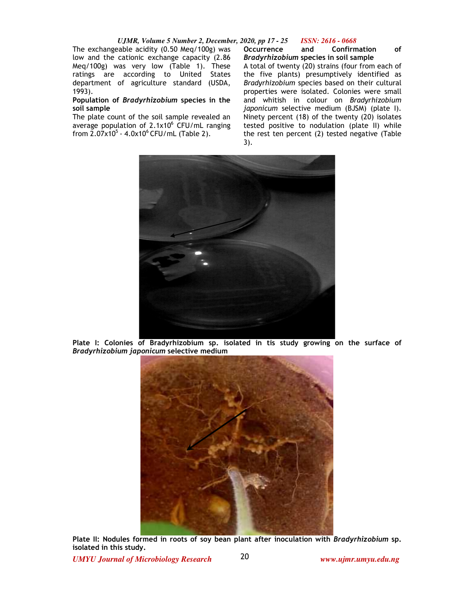The exchangeable acidity (0.50 Meq/100g) was low and the cationic exchange capacity (2.86 Meq/100g) was very low (Table 1). These ratings are according to United States department of agriculture standard (USDA, 1993).

## **Population of** *Bradyrhizobium* **species in the soil sample**

The plate count of the soil sample revealed an average population of 2.1x10<sup>6</sup> CFU/mL ranging from  $2.07x10^5 - 4.0x10^6$  CFU/mL (Table 2).

**Occurrence and Confirmation of**  *Bradyrhizobium* **species in soil sample**  A total of twenty (20) strains (four from each of the five plants) presumptively identified as *Bradyrhizobium* species based on their cultural properties were isolated. Colonies were small and whitish in colour on *Bradyrhizobium japonicum* selective medium (BJSM) (plate I). Ninety percent (18) of the twenty (20) isolates tested positive to nodulation (plate II) while the rest ten percent (2) tested negative (Table 3).



**Plate I: Colonies of Bradyrhizobium sp. isolated in tis study growing on the surface of**  *Bradyrhizobium japonicum* **selective medium** 



**Plate II: Nodules formed in roots of soy bean plant after inoculation with** *Bradyrhizobium* **sp. isolated in this study.**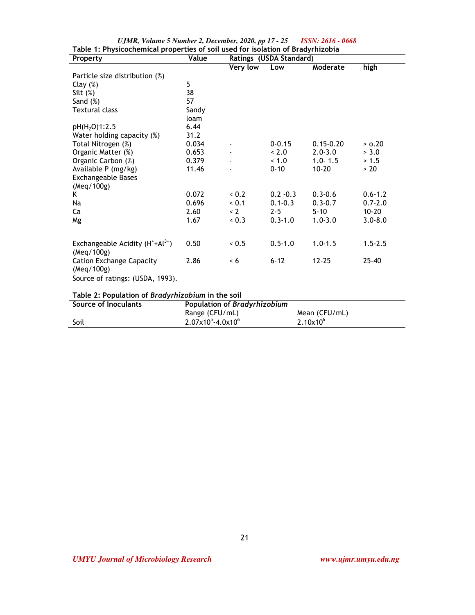| Table 1: Physicochemical properties of soil used for isolation of bradyfilizobia |       |                         |             |               |             |  |
|----------------------------------------------------------------------------------|-------|-------------------------|-------------|---------------|-------------|--|
| Property                                                                         | Value | Ratings (USDA Standard) |             |               |             |  |
|                                                                                  |       | Very low                | Low         | Moderate      | high        |  |
| Particle size distribution (%)                                                   |       |                         |             |               |             |  |
| Clay $(\%)$                                                                      | 5     |                         |             |               |             |  |
| Silt $(\%)$                                                                      | 38    |                         |             |               |             |  |
| Sand $(\%)$                                                                      | 57    |                         |             |               |             |  |
| Textural class                                                                   | Sandy |                         |             |               |             |  |
|                                                                                  | loam  |                         |             |               |             |  |
| $pH(H_2O)1:2.5$                                                                  | 6.44  |                         |             |               |             |  |
| Water holding capacity (%)                                                       | 31.2  |                         |             |               |             |  |
| Total Nitrogen (%)                                                               | 0.034 |                         | $0 - 0.15$  | $0.15 - 0.20$ | > 0.20      |  |
| Organic Matter (%)                                                               | 0.653 |                         | < 2.0       | $2.0 - 3.0$   | > 3.0       |  |
| Organic Carbon (%)                                                               | 0.379 |                         | < 1.0       | $1.0 - 1.5$   | > 1.5       |  |
| Available P (mg/kg)                                                              | 11.46 |                         | $0 - 10$    | $10 - 20$     | > 20        |  |
| Exchangeable Bases                                                               |       |                         |             |               |             |  |
| (Meg/100g)                                                                       |       |                         |             |               |             |  |
| Κ                                                                                | 0.072 | < 0.2                   | $0.2 - 0.3$ | $0.3 - 0.6$   | $0.6 - 1.2$ |  |
| Na                                                                               | 0.696 | < 0.1                   | $0.1 - 0.3$ | $0.3 - 0.7$   | $0.7 - 2.0$ |  |
| Ca                                                                               | 2.60  | $\leq 2$                | $2 - 5$     | $5 - 10$      | $10 - 20$   |  |
| Mg                                                                               | 1.67  | < 0.3                   | $0.3 - 1.0$ | $1.0 - 3.0$   | $3.0 - 8.0$ |  |
|                                                                                  |       |                         |             |               |             |  |
|                                                                                  |       |                         |             |               |             |  |
| Exchangeable Acidity $(H^+ + Al^{3+})$                                           | 0.50  | < 0.5                   | $0.5 - 1.0$ | $1.0 - 1.5$   | $1.5 - 2.5$ |  |
| (Meg/100g)                                                                       |       |                         |             |               |             |  |
| <b>Cation Exchange Capacity</b>                                                  | 2.86  | $\leq 6$                | $6 - 12$    | $12 - 25$     | 25-40       |  |
| (Meg/100g)                                                                       |       |                         |             |               |             |  |
| Source of ratings: (USDA, 1993).                                                 |       |                         |             |               |             |  |

## *UJMR, Volume 5 Number 2, December, 2020, pp 17 - 25 ISSN: 2616 - 0668* **Table 1: Physicochemical properties of soil used for isolation of Bradyrhizobia**

# **Table 2: Population of** *Bradyrhizobium* **in the soil**

| Source of Inoculants | <b>Population of Bradyrhizobium</b> |               |  |
|----------------------|-------------------------------------|---------------|--|
|                      | Range (CFU/mL)                      | Mean (CFU/mL) |  |
| Soil                 | $2.07x105 - 4.0x106$                | $2.10x10^6$   |  |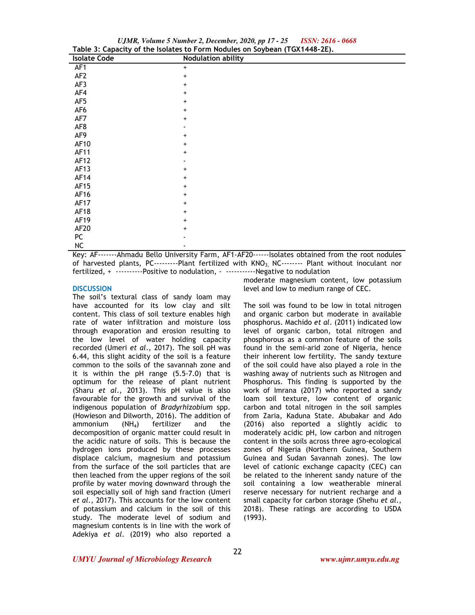| <b>Isolate Code</b> | Table 5: capacity of the isolates to Form Hogaits on soybean (Fort Fig. 20).<br><b>Nodulation ability</b> |  |
|---------------------|-----------------------------------------------------------------------------------------------------------|--|
| AF1                 | $\ddot{}$                                                                                                 |  |
| AF <sub>2</sub>     | $\ddot{}$                                                                                                 |  |
| AF3                 | $\ddot{}$                                                                                                 |  |
| AF4                 | $\begin{array}{c} + \end{array}$                                                                          |  |
| AF5                 | $\begin{array}{c} + \end{array}$                                                                          |  |
| AF6                 | $\ddot{}$                                                                                                 |  |
| AF7                 | $\begin{array}{c} + \end{array}$                                                                          |  |
| AF8                 |                                                                                                           |  |
| AF9                 | $\begin{array}{c} + \end{array}$                                                                          |  |
| AF10                | $\begin{array}{c} + \end{array}$                                                                          |  |
| AF11                | $\ddot{}$                                                                                                 |  |
| AF12                |                                                                                                           |  |
| AF <sub>13</sub>    | $\ddot{}$                                                                                                 |  |
| AF14                | $\begin{array}{c} + \end{array}$                                                                          |  |
| AF15                | $\begin{array}{c} + \end{array}$                                                                          |  |
| AF16                | $\begin{array}{c} + \end{array}$                                                                          |  |
| AF17                | $\ddot{}$                                                                                                 |  |
| AF18                | $\ddot{}$                                                                                                 |  |
| AF <sub>19</sub>    | $\begin{array}{c} + \end{array}$                                                                          |  |
| AF <sub>20</sub>    | $\ddot{}$                                                                                                 |  |
| PC                  |                                                                                                           |  |
| $NC$                |                                                                                                           |  |

*UJMR, Volume 5 Number 2, December, 2020, pp 17 - 25 ISSN: 2616 - 0668* **Table 3: Capacity of the Isolates to Form Nodules on Soybean (TGX1448-2E).** 

Key: AF-------Ahmadu Bello University Farm, AF1-AF20------Isolates obtained from the root nodules of harvested plants, PC---------Plant fertilized with KNO<sub>3</sub>, NC-------- Plant without inoculant nor fertilized, + ----------Positive to nodulation, - -----------Negative to nodulation

## **DISCUSSION**

The soil's textural class of sandy loam may have accounted for its low clay and silt content. This class of soil texture enables high rate of water infiltration and moisture loss through evaporation and erosion resulting to the low level of water holding capacity recorded (Umeri *et al*., 2017). The soil pH was 6.44, this slight acidity of the soil is a feature common to the soils of the savannah zone and it is within the pH range (5.5-7.0) that is optimum for the release of plant nutrient (Sharu *et al*., 2013). This pH value is also favourable for the growth and survival of the indigenous population of *Bradyrhizobium* spp. (Howieson and Dilworth, 2016). The addition of ammonium (NH4) fertilizer and the decomposition of organic matter could result in the acidic nature of soils. This is because the hydrogen ions produced by these processes displace calcium, magnesium and potassium from the surface of the soil particles that are then leached from the upper regions of the soil profile by water moving downward through the soil especially soil of high sand fraction (Umeri *et al*., 2017). This accounts for the low content of potassium and calcium in the soil of this study. The moderate level of sodium and magnesium contents is in line with the work of Adekiya *et al*. (2019) who also reported a

moderate magnesium content, low potassium level and low to medium range of CEC.

The soil was found to be low in total nitrogen and organic carbon but moderate in available phosphorus. Machido *et al*. (2011) indicated low level of organic carbon, total nitrogen and phosphorous as a common feature of the soils found in the semi-arid zone of Nigeria, hence their inherent low fertility. The sandy texture of the soil could have also played a role in the washing away of nutrients such as Nitrogen and Phosphorus. This finding is supported by the work of Imrana (2017) who reported a sandy loam soil texture, low content of organic carbon and total nitrogen in the soil samples from Zaria, Kaduna State. Abubakar and Ado (2016) also reported a slightly acidic to moderately acidic pH, low carbon and nitrogen content in the soils across three agro-ecological zones of Nigeria (Northern Guinea, Southern Guinea and Sudan Savannah zones). The low level of cationic exchange capacity (CEC) can be related to the inherent sandy nature of the soil containing a low weatherable mineral reserve necessary for nutrient recharge and a small capacity for carbon storage (Shehu *et al*., 2018). These ratings are according to USDA (1993).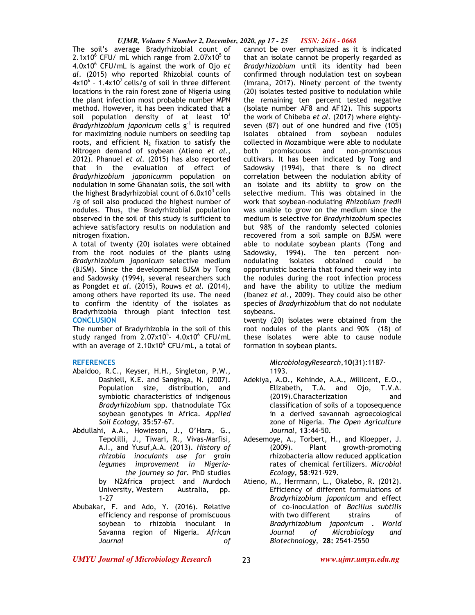The soil's average Bradyrhizobial count of  $2.1x10^6$  CFU/ mL which range from  $2.07x10^5$  to 4.0x10<sup>6</sup> CFU/mL is against the work of Ojo *et al*. (2015) who reported Rhizobial counts of  $4x10^6$  - 1.4x10<sup>7</sup> cells/g of soil in three different locations in the rain forest zone of Nigeria using the plant infection most probable number MPN method. However, it has been indicated that a soil population density of at least  $10^3$ *Bradyrhizobium japonicum* cells g-1 is required for maximizing nodule numbers on seedling tap roots, and efficient  $N_2$  fixation to satisfy the Nitrogen demand of soybean (Atieno *et al*., 2012). Phanuel *et al.* (2015) has also reported that in the evaluation of effect of *Bradyrhizobium japonicum*m population on nodulation in some Ghanaian soils, the soil with the highest Bradyrhizobial count of  $6.0x10<sup>3</sup>$  cells /g of soil also produced the highest number of nodules. Thus, the Bradyrhizobial population observed in the soil of this study is sufficient to achieve satisfactory results on nodulation and nitrogen fixation.

A total of twenty (20) isolates were obtained from the root nodules of the plants using *Bradyrhizobium japonicum* selective medium (BJSM). Since the development BJSM by Tong and Sadowsky (1994), several researchers such as Pongdet *et al*. (2015), Rouws *et al*. (2014), among others have reported its use. The need to confirm the identity of the isolates as Bradyrhizobia through plant infection test **CONCLUSION**

The number of Bradyrhizobia in the soil of this study ranged from  $2.07 \times 10^{5}$ -  $4.0 \times 10^{6}$  CFU/mL with an average of 2.10x10<sup>6</sup> CFU/mL, a total of

## **REFERENCES**

- Abaidoo, R.C., Keyser, H.H., Singleton, P.W., Dashiell, K.E. and Sanginga, N. (2007). Population size, distribution, and symbiotic characteristics of indigenous *Bradyrhizobium* spp. thatnodulate TGx soybean genotypes in Africa. *Applied Soil Ecology,* **35**:57–67.
- Abdullahi, A.A., Howieson, J., O'Hara, G., Tepolilli, J., Tiwari, R., Vivas-Marfisi, A.I., and Yusuf,A.A. (2013). *History of rhizobia inoculants use for grain legumes improvement in Nigeria the journey so far.* PhD studies by N2Africa project and Murdoch University, Western Australia, pp. 1-27
- Abubakar, F. and Ado, Y. (2016). Relative efficiency and response of promiscuous soybean to rhizobia inoculant in Savanna region of Nigeria. *African Journal of*

cannot be over emphasized as it is indicated that an isolate cannot be properly regarded as *Bradyrhizobium* until its identity had been confirmed through nodulation test on soybean (Imrana, 2017). Ninety percent of the twenty (20) isolates tested positive to nodulation while the remaining ten percent tested negative (Isolate number AF8 and AF12). This supports the work of Chibeba *et al*. (2017) where eightyseven (87) out of one hundred and five (105) isolates obtained from soybean nodules collected in Mozambique were able to nodulate both promiscuous and non-promiscuous cultivars. It has been indicated by Tong and Sadowsky (1994), that there is no direct correlation between the nodulation ability of an isolate and its ability to grow on the selective medium. This was obtained in the work that soybean-nodulating *Rhizobium fredii* was unable to grow on the medium since the medium is selective for *Bradyrhizobium* species but 98% of the randomly selected colonies recovered from a soil sample on BJSM were able to nodulate soybean plants (Tong and Sadowsky, 1994). The ten percent nonnodulating isolates obtained could be opportunistic bacteria that found their way into the nodules during the root infection process and have the ability to utilize the medium (Ibanez *et al*., 2009). They could also be other species of *Bradyrhizobium* that do not nodulate soybeans.

twenty (20) isolates were obtained from the root nodules of the plants and 90% (18) of these isolates were able to cause nodule formation in soybean plants.

> *MicrobiologyResearch*,**10**(31):1187- 1193.

- Adekiya, A.O., Kehinde, A.A., Millicent, E.O., Elizabeth, T.A. and Ojo, T.V.A. (2019).Characterization and classification of soils of a toposequence in a derived savannah agroecological zone of Nigeria. *The Open Agriculture Journal*, **13**:44-50.
- Adesemoye, A., Torbert, H., and Kloepper, J. (2009). Plant growth-promoting rhizobacteria allow reduced application rates of chemical fertilizers. *Microbial Ecology,* **58**:921-929.
- Atieno, M., Herrmann, L., Okalebo, R. (2012). Efficiency of different formulations of *Bradyrhizobium japonicum* and effect of co-inoculation of *Bacillus subtilis* with two different strains of *Bradyrhizobium japonicum* . *World Journal of Microbiology and Biotechnology,* **28:** 2541–2550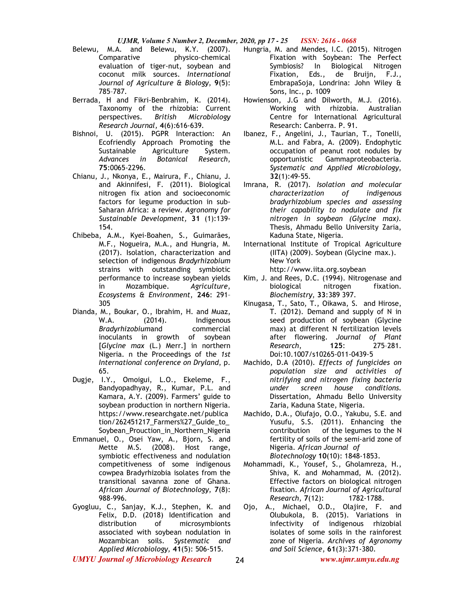## *UJMR, Volume 5 Number 2, December, 2020, pp 17 - 25 ISSN: 2616 - 0668*

- Belewu, M.A. and Belewu, K.Y. (2007). Comparative physico-chemical evaluation of tiger-nut, soybean and coconut milk sources. *International Journal of Agriculture & Biology*, **9**(5): 785–787.
- Berrada, H and Fikri-Benbrahim, K. (2014). Taxonomy of the rhizobia: Current perspectives. *British Microbiology Research Journal,* **4**(6)*:*616-639*.*
- Bishnoi, U. (2015). PGPR Interaction: An Ecofriendly Approach Promoting the Sustainable Agriculture System. *Advances in Botanical Research*, **75**:0065-2296.
- Chianu, J., Nkonya, E., Mairura, F., Chianu, J. and Akinnifesi, F. (2011). Biological nitrogen fix ation and socioeconomic factors for legume production in sub-Saharan Africa: a review. *Agronomy for Sustainable Development,* **31** (1):139- 154.
- Chibeba, A.M., Kyei-Boahen, S., Guimarães, M.F., Nogueira, M.A., and Hungria, M. (2017). Isolation, characterization and selection of indigenous *Bradyrhizobium* strains with outstanding symbiotic performance to increase soybean yields<br>in Mozambique. Agriculture, in Mozambique. *Ecosystems & Environment*, **246**: 291– 305
- Dianda, M., Boukar, O., Ibrahim, H. and Muaz, W.A. (2014). Indigenous<br>Bradyrhizobiumand commercial **Bradyrhizobiumand** inoculants in growth of soybean [*Glycine max* (L.) Merr.] in northern Nigeria. n the Proceedings of the *1st International conference on Dryland*, p. 65.
- Dugje, I.Y., Omoigui, L.O., Ekeleme, F., Bandyopadhyay, R., Kumar, P.L. and Kamara, A.Y. (2009). Farmers' guide to soybean production in northern Nigeria. https://www.researchgate.net/publica tion/262451217\_Farmers%27\_Guide\_to\_ Soybean\_Prouction\_in\_Northern\_Nigeria
- Emmanuel, O., Osei Yaw, A., Bjorn, S. and Mette M.S. (2008). Host range, symbiotic effectiveness and nodulation competitiveness of some indigenous cowpea Bradyrhizobia isolates from the transitional savanna zone of Ghana. *African Journal of Biotechnology*, **7**(8): 988-996.
- Gyogluu, C., Sanjay, K.J., Stephen, K. and Felix, D.D. (2018) Identification and distribution of microsymbionts associated with soybean nodulation in Mozambican soils. *Systematic and Applied Microbiology,* **41**(5): 506-515.

Hungria, M. and Mendes, I.C. (2015). Nitrogen Fixation with Soybean: The Perfect Symbiosis? In Biological Nitrogen Fixation, Eds., de Bruijn, F.J., EmbrapaSoja, Londrina: John Wiley & Sons, Inc., p. 1009

- Howienson, J.G and Dilworth, M.J. (2016). Working with rhizobia. Australian Centre for International Agricultural Research: Canberra. P. 91.
- Ibanez, F., Angelini, J., Taurian, T., Tonelli, M.L. and Fabra, A. (2009). Endophytic occupation of peanut root nodules by opportunistic Gammaproteobacteria. *Systematic and Applied Microbiology*, **32**(1):49-55.
- Imrana, R. (2017). *Isolation and molecular characterization of indigenous bradyrhizobium species and assessing their capability to nodulate and fix nitrogen in soybean (Glycine max).* Thesis, Ahmadu Bello University Zaria, Kaduna State, Nigeria.
- International Institute of Tropical Agriculture (IITA) (2009). Soybean (Glycine max.). New York http://www.iita.org.soybean
- Kim, J. and Rees, D.C. (1994). Nitrogenase and biological nitrogen fixation. *Biochemistry*, **33**:389 397.
- Kinugasa, T., Sato, T., Oikawa, S. and Hirose, T. (2012). Demand and supply of N in seed production of soybean (Glycine max) at different N fertilization levels after flowering. *Journal of Plant Research*, **125**: 275–281. Doi:10.1007/s10265-011-0439-5
- Machido, D.A (2010). *Effects of fungicides on population size and activities of nitrifying and nitrogen fixing bacteria under screen house conditions.* Dissertation, Ahmadu Bello University Zaria, Kaduna State, Nigeria.
- Machido, D.A., Olufajo, O.O., Yakubu, S.E. and Yusufu, S.S. (2011). Enhancing the contribution of the legumes to the N fertility of soils of the semi-arid zone of Nigeria. *African Journal of Biotechnology* **10**(10): 1848-1853.
- Mohammadi, K., Yousef, S., Gholamreza, H., Shiva, K. and Mohammad, M. (2012). Effective factors on biological nitrogen fixation. *African Journal of Agricultural Research,* **7**(12): 1782-1788.
- Ojo, A., Michael, O.D., Olajire, F. and Olubukola, B. (2015). Variations in infectivity of indigenous rhizobial isolates of some soils in the rainforest zone of Nigeria. *Archives of Agronomy and Soil Science*, **61**(3):371-380.

*UMYU Journal of Microbiology Research www.ujmr.umyu.edu.ng*

24